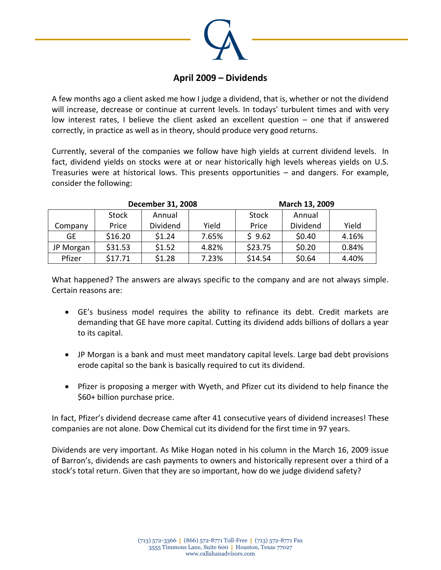

## **April 2009 – Dividends**

A few months ago a client asked me how I judge a dividend, that is, whether or not the dividend will increase, decrease or continue at current levels. In todays' turbulent times and with very low interest rates, I believe the client asked an excellent question – one that if answered correctly, in practice as well as in theory, should produce very good returns.

Currently, several of the companies we follow have high yields at current dividend levels. In fact, dividend yields on stocks were at or near historically high levels whereas yields on U.S. Treasuries were at historical lows. This presents opportunities – and dangers. For example, consider the following:

|           |              | <b>December 31, 2008</b> |       | March 13, 2009 |          |       |
|-----------|--------------|--------------------------|-------|----------------|----------|-------|
|           | <b>Stock</b> | Annual                   |       | <b>Stock</b>   | Annual   |       |
| Company   | Price        | Dividend                 | Yield | Price          | Dividend | Yield |
| <b>GE</b> | \$16.20      | \$1.24                   | 7.65% | \$9.62         | \$0.40   | 4.16% |
| JP Morgan | \$31.53      | \$1.52                   | 4.82% | \$23.75        | \$0.20   | 0.84% |
| Pfizer    | \$17.71      | \$1.28                   | 7.23% | \$14.54        | \$0.64   | 4.40% |

What happened? The answers are always specific to the company and are not always simple. Certain reasons are:

- GE's business model requires the ability to refinance its debt. Credit markets are demanding that GE have more capital. Cutting its dividend adds billions of dollars a year to its capital.
- JP Morgan is a bank and must meet mandatory capital levels. Large bad debt provisions erode capital so the bank is basically required to cut its dividend.
- Pfizer is proposing a merger with Wyeth, and Pfizer cut its dividend to help finance the \$60+ billion purchase price.

In fact, Pfizer's dividend decrease came after 41 consecutive years of dividend increases! These companies are not alone. Dow Chemical cut its dividend for the first time in 97 years.

Dividends are very important. As Mike Hogan noted in his column in the March 16, 2009 issue of Barron's, dividends are cash payments to owners and historically represent over a third of a stock's total return. Given that they are so important, how do we judge dividend safety?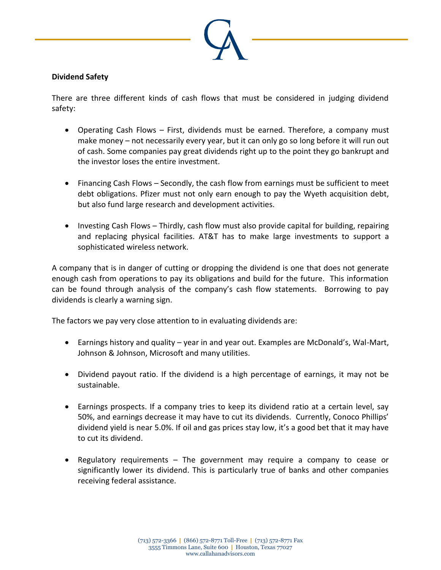

## **Dividend Safety**

There are three different kinds of cash flows that must be considered in judging dividend safety:

- Operating Cash Flows First, dividends must be earned. Therefore, a company must make money – not necessarily every year, but it can only go so long before it will run out of cash. Some companies pay great dividends right up to the point they go bankrupt and the investor loses the entire investment.
- Financing Cash Flows Secondly, the cash flow from earnings must be sufficient to meet debt obligations. Pfizer must not only earn enough to pay the Wyeth acquisition debt, but also fund large research and development activities.
- Investing Cash Flows Thirdly, cash flow must also provide capital for building, repairing and replacing physical facilities. AT&T has to make large investments to support a sophisticated wireless network.

A company that is in danger of cutting or dropping the dividend is one that does not generate enough cash from operations to pay its obligations and build for the future. This information can be found through analysis of the company's cash flow statements. Borrowing to pay dividends is clearly a warning sign.

The factors we pay very close attention to in evaluating dividends are:

- Earnings history and quality year in and year out. Examples are McDonald's, Wal-Mart, Johnson & Johnson, Microsoft and many utilities.
- Dividend payout ratio. If the dividend is a high percentage of earnings, it may not be sustainable.
- Earnings prospects. If a company tries to keep its dividend ratio at a certain level, say 50%, and earnings decrease it may have to cut its dividends. Currently, Conoco Phillips' dividend yield is near 5.0%. If oil and gas prices stay low, it's a good bet that it may have to cut its dividend.
- Regulatory requirements The government may require a company to cease or significantly lower its dividend. This is particularly true of banks and other companies receiving federal assistance.